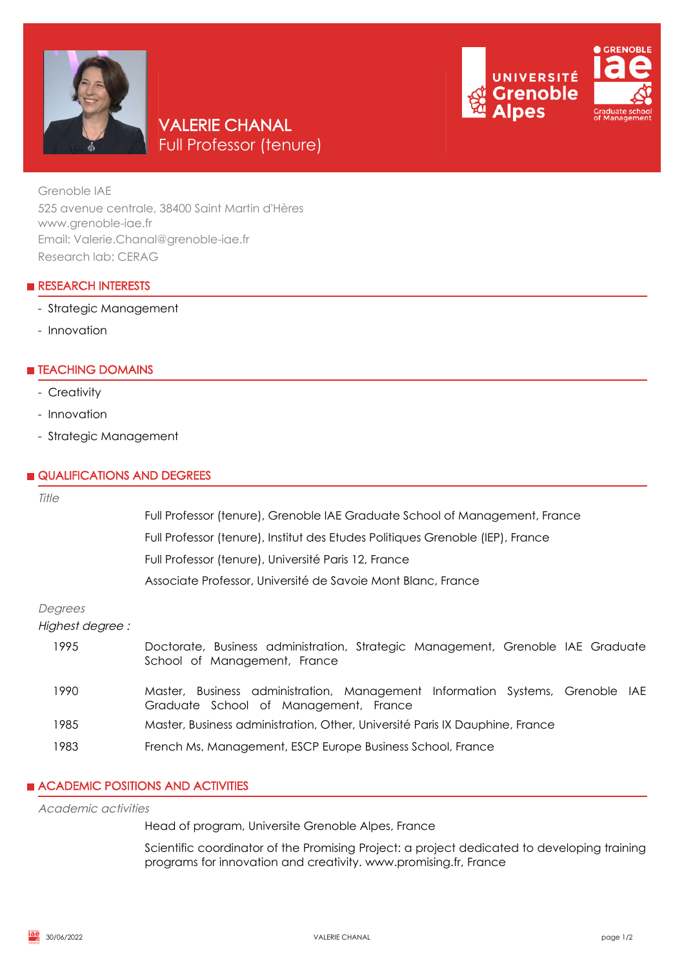

# **CRENOBLE** UNIVERSITÉ **Grenoble**

Grenoble IAE 525 avenue centrale, 38400 Saint Martin d'Hères www.grenoble-iae.fr Email: Valerie.Chanal@grenoble-iae.fr Research lab: CERAG

VALERIE CHANAL

Full Professor (tenure)

# **RESEARCH INTERESTS**

# - Strategic Management

- Innovation

# **E** TEACHING DOMAINS

- Creativity
- Innovation
- Strategic Management

## **QUALIFICATIONS AND DEGREES**

| Title                      |                                                                                                                        |
|----------------------------|------------------------------------------------------------------------------------------------------------------------|
|                            | Full Professor (tenure), Grenoble IAE Graduate School of Management, France                                            |
|                            | Full Professor (tenure), Institut des Etudes Politiques Grenoble (IEP), France                                         |
|                            | Full Professor (tenure), Université Paris 12, France                                                                   |
|                            | Associate Professor, Université de Savoie Mont Blanc, France                                                           |
| Degrees<br>Highest degree: |                                                                                                                        |
| 1995                       | Doctorate, Business administration, Strategic Management, Grenoble IAE Graduate<br>School of Management, France        |
| 1990                       | Master, Business administration, Management Information Systems, Grenoble IAE<br>Graduate School of Management, France |
| 1985                       | Master, Business administration, Other, Université Paris IX Dauphine, France                                           |
| 1983                       | French Ms, Management, ESCP Europe Business School, France                                                             |

# **ACADEMIC POSITIONS AND ACTIVITIES**

## Academic activities

Head of program, Universite Grenoble Alpes, France

Scientific coordinator of the Promising Project: a project dedicated to developing training programs for innovation and creativity. www.promising.fr, France